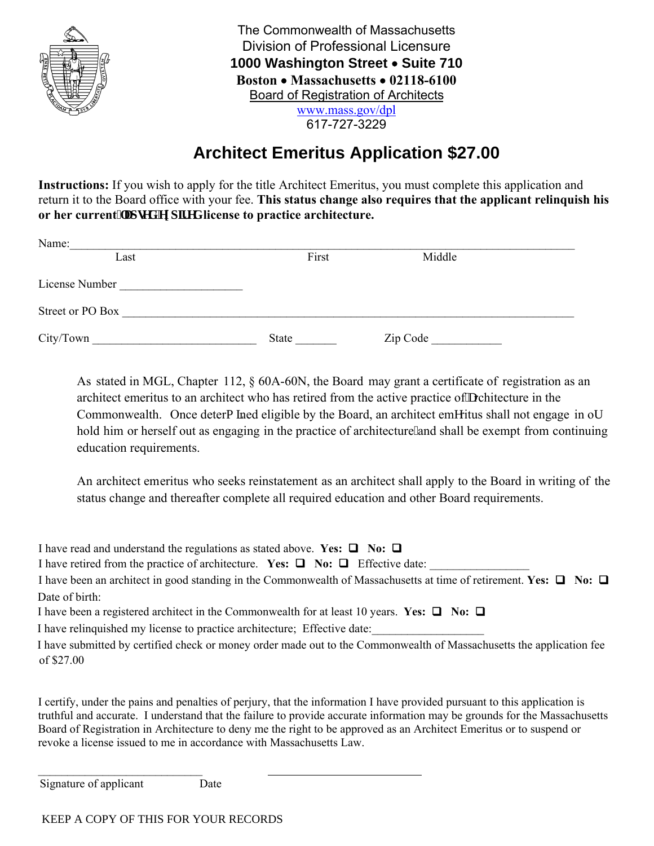

| The Commonwealth of Massachusetts   |
|-------------------------------------|
| Division of Professional Licensure  |
| 1000 Washington Street . Suite 710  |
| Boston • Massachusetts • 02118-6100 |
| Board of Registration of Architects |
| www.mass.gov/dpl                    |

617-727-3229

## **Architect Emeritus Application \$27.00**

**Instructions:** If you wish to apply for the title Architect Emeritus, you must complete this application and return it to the Board office with your fee. **This status change also requires that the applicant relinquish his or her current her ugf lgzr k gf license to practice architecture.** 

| Name:            |       |          |
|------------------|-------|----------|
| Last             | First | Middle   |
| License Number   |       |          |
| Street or PO Box |       |          |
| City/Town        | State | Zip Code |

As stated in MGL, Chapter 112, § 60A-60N, the Board may grant a certificate of registration as an architect emeritus to an architect who has retired from the active practice of crchitecture in the Commonwealth. Once detero kned eligible by the Board, an architect emgritus shall not engage in ot hold him or herself out as engaging in the practice of architecture and shall be exempt from continuing education requirements.

An architect emeritus who seeks reinstatement as an architect shall apply to the Board in writing of the status change and thereafter complete all required education and other Board requirements.

I have read and understand the regulations as stated above. **Yes:**  $\Box$  **No:**  $\Box$ 

I have retired from the practice of architecture. Yes:  $\Box$  No:  $\Box$  Effective date:

I have been an architect in good standing in the Commonwealth of Massachusetts at time of retirement. **Yes:**  $\Box$  **No:**  $\Box$ Date of birth:

I have been a registered architect in the Commonwealth for at least 10 years. **Yes:**  $\Box$  No:  $\Box$ 

I have relinquished my license to practice architecture; Effective date:

I have submitted by certified check or money order made out to the Commonwealth of Massachusetts the application fee of \$27.00

I certify, under the pains and penalties of perjury, that the information I have provided pursuant to this application is truthful and accurate. I understand that the failure to provide accurate information may be grounds for the Massachusetts Board of Registration in Architecture to deny me the right to be approved as an Architect Emeritus or to suspend or revoke a license issued to me in accordance with Massachusetts Law.

\_\_\_\_\_\_\_\_\_\_\_\_\_\_\_\_\_\_\_\_\_\_\_\_\_\_\_\_ Signature of applicant Date